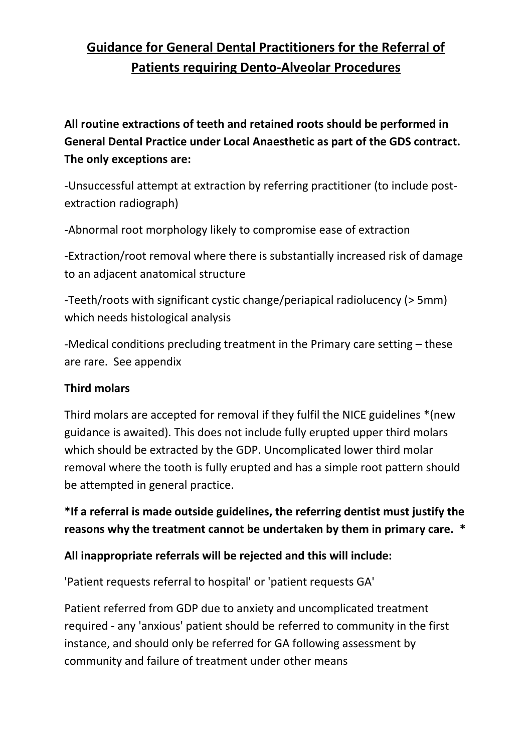# **Guidance for General Dental Practitioners for the Referral of Patients requiring Dento-Alveolar Procedures**

**All routine extractions of teeth and retained roots should be performed in General Dental Practice under Local Anaesthetic as part of the GDS contract. The only exceptions are:**

-Unsuccessful attempt at extraction by referring practitioner (to include postextraction radiograph)

-Abnormal root morphology likely to compromise ease of extraction

-Extraction/root removal where there is substantially increased risk of damage to an adjacent anatomical structure

-Teeth/roots with significant cystic change/periapical radiolucency (> 5mm) which needs histological analysis

-Medical conditions precluding treatment in the Primary care setting – these are rare. See appendix

#### **Third molars**

Third molars are accepted for removal if they fulfil the NICE guidelines \*(new guidance is awaited). This does not include fully erupted upper third molars which should be extracted by the GDP. Uncomplicated lower third molar removal where the tooth is fully erupted and has a simple root pattern should be attempted in general practice.

**\*If a referral is made outside guidelines, the referring dentist must justify the reasons why the treatment cannot be undertaken by them in primary care. \***

#### **All inappropriate referrals will be rejected and this will include:**

'Patient requests referral to hospital' or 'patient requests GA'

Patient referred from GDP due to anxiety and uncomplicated treatment required - any 'anxious' patient should be referred to community in the first instance, and should only be referred for GA following assessment by community and failure of treatment under other means